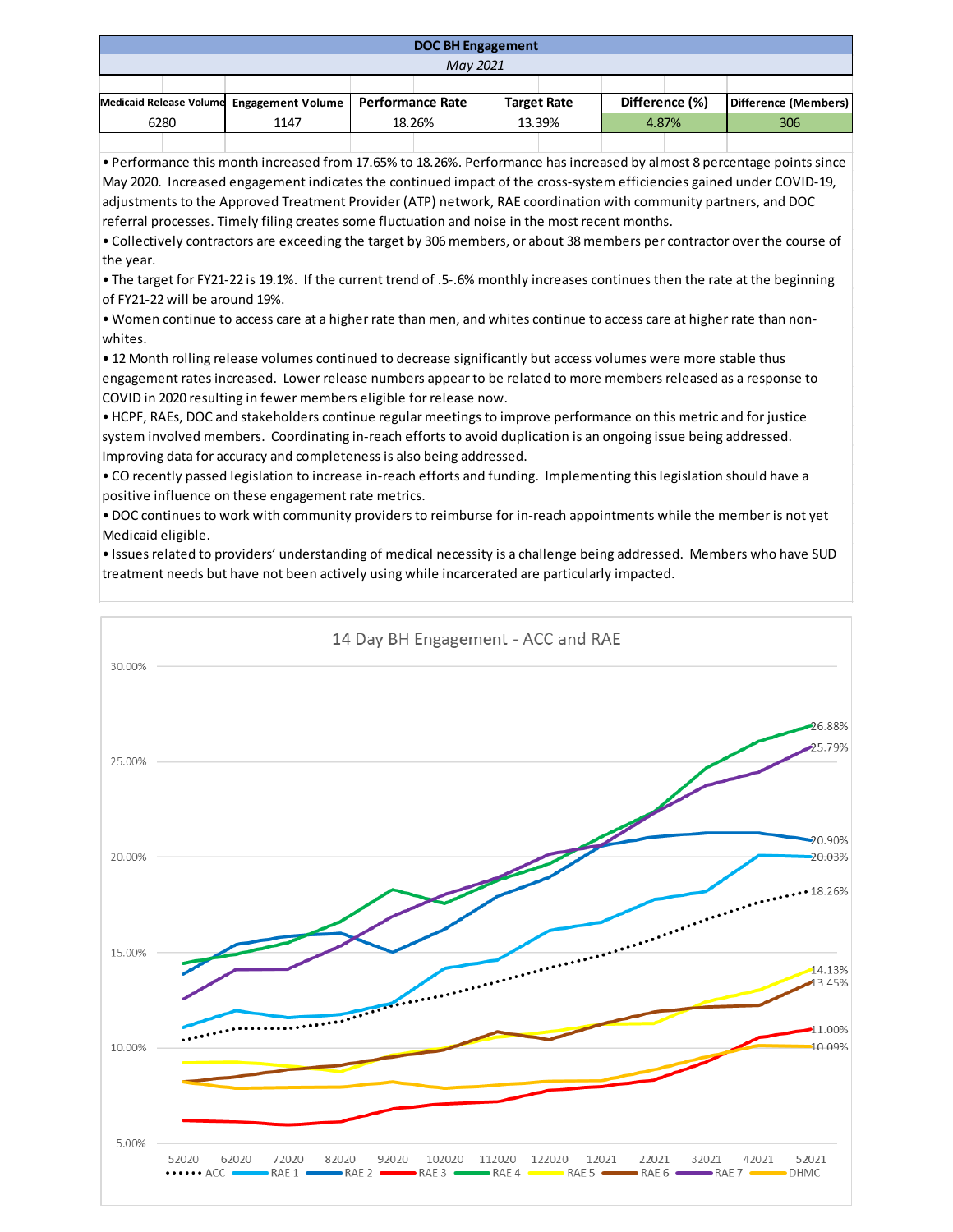| <b>DOC BH Engagement</b>                                     |  |      |  |        |  |                    |  |                |  |                      |  |
|--------------------------------------------------------------|--|------|--|--------|--|--------------------|--|----------------|--|----------------------|--|
| May 2021                                                     |  |      |  |        |  |                    |  |                |  |                      |  |
|                                                              |  |      |  |        |  |                    |  |                |  |                      |  |
| Medicaid Release Volume Engagement Volume   Performance Rate |  |      |  |        |  | <b>Target Rate</b> |  | Difference (%) |  | Difference (Members) |  |
| 6280                                                         |  | 1147 |  | 18.26% |  | 13.39%             |  | 4.87%          |  | 306                  |  |
|                                                              |  |      |  |        |  |                    |  |                |  |                      |  |

• Performance this month increased from 17.65% to 18.26%. Performance has increased by almost 8 percentage points since May 2020. Increased engagement indicates the continued impact of the cross-system efficiencies gained under COVID-19, adjustments to the Approved Treatment Provider (ATP) network, RAE coordination with community partners, and DOC referral processes. Timely filing creates some fluctuation and noise in the most recent months.

• Collectively contractors are exceeding the target by 306 members, or about 38 members per contractor over the course of the year.

• The target for FY21-22 is 19.1%. If the current trend of .5-.6% monthly increases continues then the rate at the beginning of FY21-22 will be around 19%.

• Women continue to access care at a higher rate than men, and whites continue to access care at higher rate than nonwhites.

• 12 Month rolling release volumes continued to decrease significantly but access volumes were more stable thus engagement rates increased. Lower release numbers appear to be related to more members released as a response to COVID in 2020 resulting in fewer members eligible for release now.

• HCPF, RAEs, DOC and stakeholders continue regular meetings to improve performance on this metric and for justice system involved members. Coordinating in-reach efforts to avoid duplication is an ongoing issue being addressed. Improving data for accuracy and completeness is also being addressed.

• CO recently passed legislation to increase in-reach efforts and funding. Implementing this legislation should have a positive influence on these engagement rate metrics.

• DOC continues to work with community providers to reimburse for in-reach appointments while the member is not yet Medicaid eligible.

• Issues related to providers' understanding of medical necessity is a challenge being addressed. Members who have SUD treatment needs but have not been actively using while incarcerated are particularly impacted.

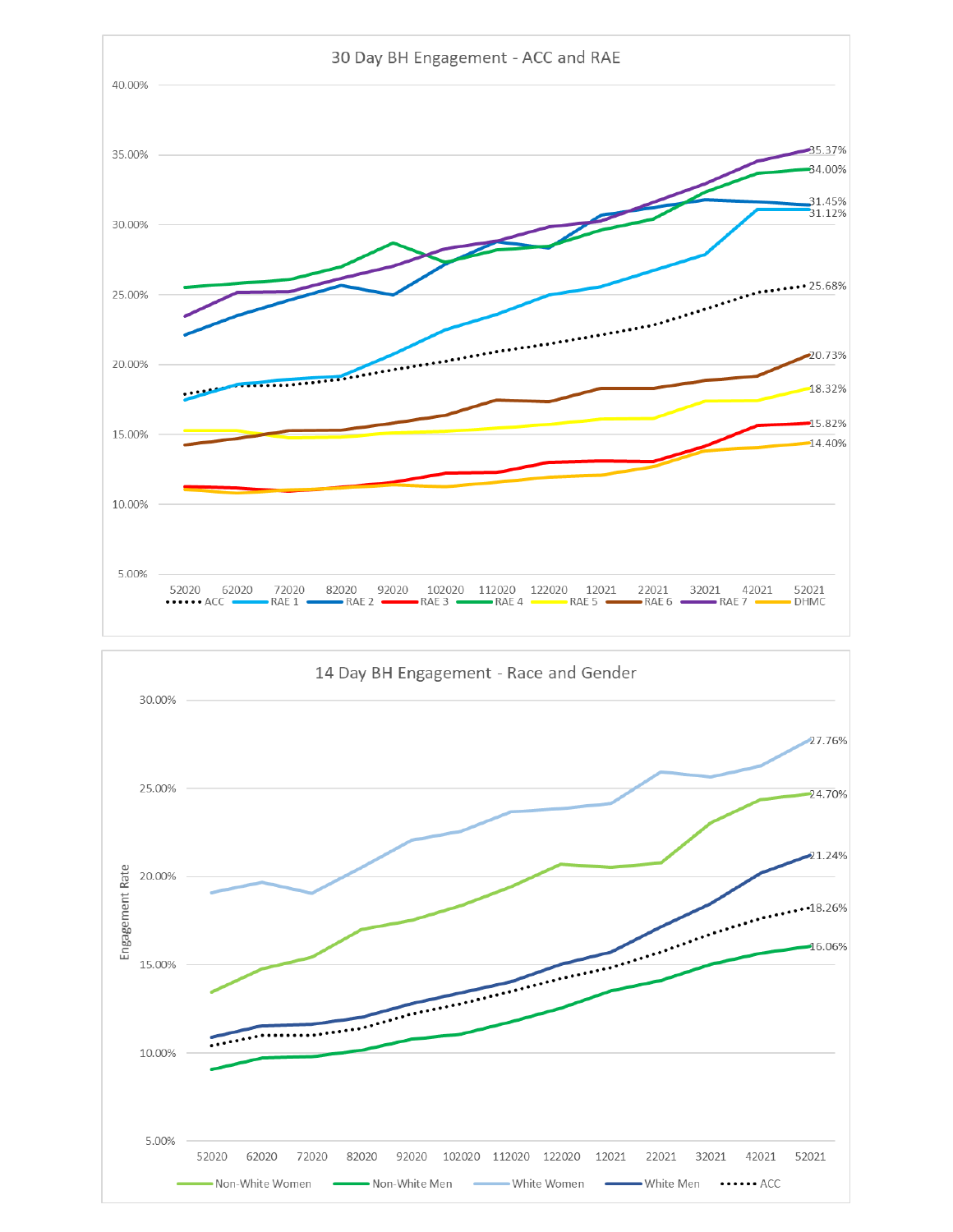